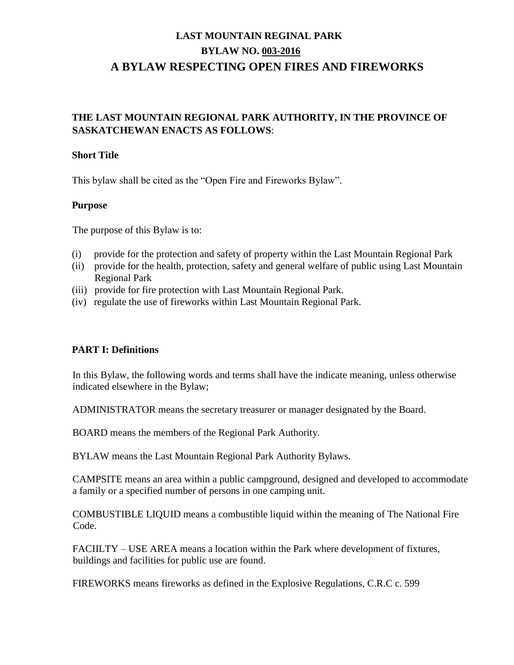## **THE LAST MOUNTAIN REGIONAL PARK AUTHORITY, IN THE PROVINCE OF SASKATCHEWAN ENACTS AS FOLLOWS**:

#### **Short Title**

This bylaw shall be cited as the "Open Fire and Fireworks Bylaw".

### **Purpose**

The purpose of this Bylaw is to:

- (i) provide for the protection and safety of property within the Last Mountain Regional Park
- (ii) provide for the health, protection, safety and general welfare of public using Last Mountain Regional Park
- (iii) provide for fire protection with Last Mountain Regional Park.
- (iv) regulate the use of fireworks within Last Mountain Regional Park.

### **PART I: Definitions**

In this Bylaw, the following words and terms shall have the indicate meaning, unless otherwise indicated elsewhere in the Bylaw;

ADMINISTRATOR means the secretary treasurer or manager designated by the Board.

BOARD means the members of the Regional Park Authority.

BYLAW means the Last Mountain Regional Park Authority Bylaws.

CAMPSITE means an area within a public campground, designed and developed to accommodate a family or a specified number of persons in one camping unit.

COMBUSTIBLE LIQUID means a combustible liquid within the meaning of The National Fire Code.

FACIILTY – USE AREA means a location within the Park where development of fixtures, buildings and facilities for public use are found.

FIREWORKS means fireworks as defined in the Explosive Regulations, C.R.C c. 599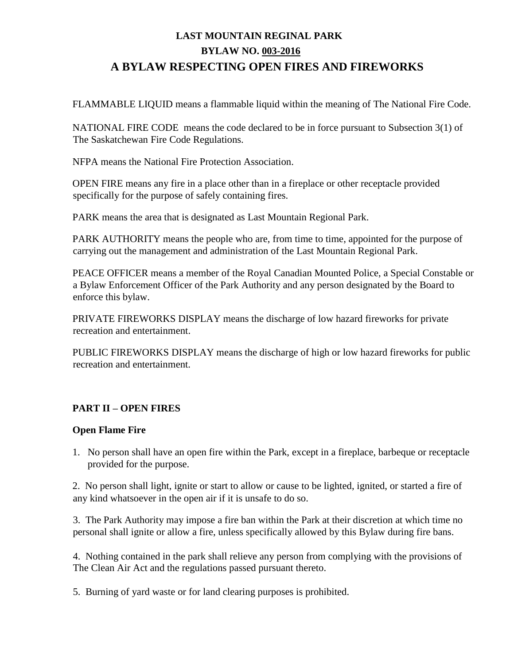FLAMMABLE LIQUID means a flammable liquid within the meaning of The National Fire Code.

NATIONAL FIRE CODE means the code declared to be in force pursuant to Subsection 3(1) of The Saskatchewan Fire Code Regulations.

NFPA means the National Fire Protection Association.

OPEN FIRE means any fire in a place other than in a fireplace or other receptacle provided specifically for the purpose of safely containing fires.

PARK means the area that is designated as Last Mountain Regional Park.

PARK AUTHORITY means the people who are, from time to time, appointed for the purpose of carrying out the management and administration of the Last Mountain Regional Park.

PEACE OFFICER means a member of the Royal Canadian Mounted Police, a Special Constable or a Bylaw Enforcement Officer of the Park Authority and any person designated by the Board to enforce this bylaw.

PRIVATE FIREWORKS DISPLAY means the discharge of low hazard fireworks for private recreation and entertainment.

PUBLIC FIREWORKS DISPLAY means the discharge of high or low hazard fireworks for public recreation and entertainment.

### **PART II – OPEN FIRES**

### **Open Flame Fire**

1. No person shall have an open fire within the Park, except in a fireplace, barbeque or receptacle provided for the purpose.

2. No person shall light, ignite or start to allow or cause to be lighted, ignited, or started a fire of any kind whatsoever in the open air if it is unsafe to do so.

3. The Park Authority may impose a fire ban within the Park at their discretion at which time no personal shall ignite or allow a fire, unless specifically allowed by this Bylaw during fire bans.

4. Nothing contained in the park shall relieve any person from complying with the provisions of The Clean Air Act and the regulations passed pursuant thereto.

5. Burning of yard waste or for land clearing purposes is prohibited.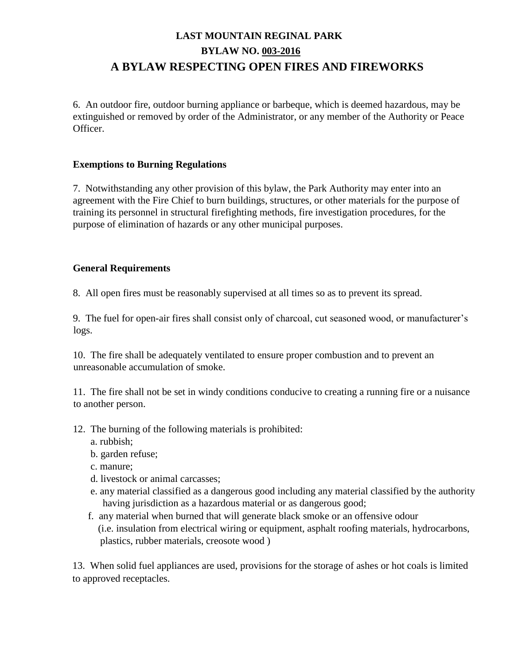6. An outdoor fire, outdoor burning appliance or barbeque, which is deemed hazardous, may be extinguished or removed by order of the Administrator, or any member of the Authority or Peace Officer.

### **Exemptions to Burning Regulations**

7. Notwithstanding any other provision of this bylaw, the Park Authority may enter into an agreement with the Fire Chief to burn buildings, structures, or other materials for the purpose of training its personnel in structural firefighting methods, fire investigation procedures, for the purpose of elimination of hazards or any other municipal purposes.

### **General Requirements**

8. All open fires must be reasonably supervised at all times so as to prevent its spread.

9. The fuel for open-air fires shall consist only of charcoal, cut seasoned wood, or manufacturer's logs.

10. The fire shall be adequately ventilated to ensure proper combustion and to prevent an unreasonable accumulation of smoke.

11. The fire shall not be set in windy conditions conducive to creating a running fire or a nuisance to another person.

- 12. The burning of the following materials is prohibited:
	- a. rubbish;
	- b. garden refuse;
	- c. manure;
	- d. livestock or animal carcasses;
	- e. any material classified as a dangerous good including any material classified by the authority having jurisdiction as a hazardous material or as dangerous good;
	- f. any material when burned that will generate black smoke or an offensive odour (i.e. insulation from electrical wiring or equipment, asphalt roofing materials, hydrocarbons, plastics, rubber materials, creosote wood )

13. When solid fuel appliances are used, provisions for the storage of ashes or hot coals is limited to approved receptacles.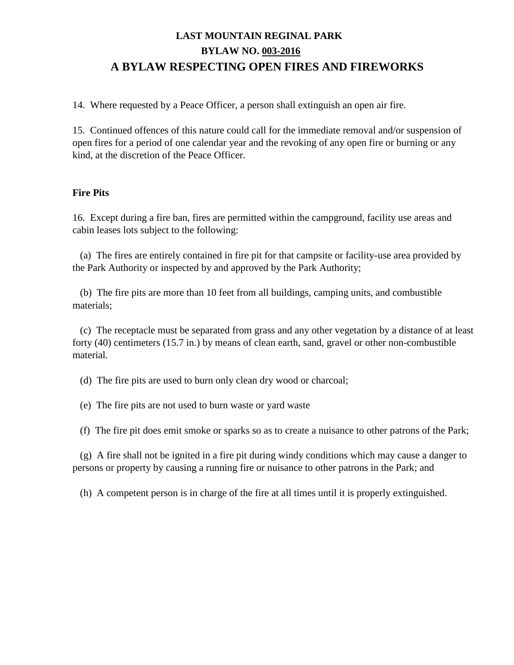14. Where requested by a Peace Officer, a person shall extinguish an open air fire.

15. Continued offences of this nature could call for the immediate removal and/or suspension of open fires for a period of one calendar year and the revoking of any open fire or burning or any kind, at the discretion of the Peace Officer.

#### **Fire Pits**

16. Except during a fire ban, fires are permitted within the campground, facility use areas and cabin leases lots subject to the following:

 (a) The fires are entirely contained in fire pit for that campsite or facility-use area provided by the Park Authority or inspected by and approved by the Park Authority;

 (b) The fire pits are more than 10 feet from all buildings, camping units, and combustible materials;

 (c) The receptacle must be separated from grass and any other vegetation by a distance of at least forty (40) centimeters (15.7 in.) by means of clean earth, sand, gravel or other non-combustible material.

(d) The fire pits are used to burn only clean dry wood or charcoal;

(e) The fire pits are not used to burn waste or yard waste

(f) The fire pit does emit smoke or sparks so as to create a nuisance to other patrons of the Park;

 (g) A fire shall not be ignited in a fire pit during windy conditions which may cause a danger to persons or property by causing a running fire or nuisance to other patrons in the Park; and

(h) A competent person is in charge of the fire at all times until it is properly extinguished.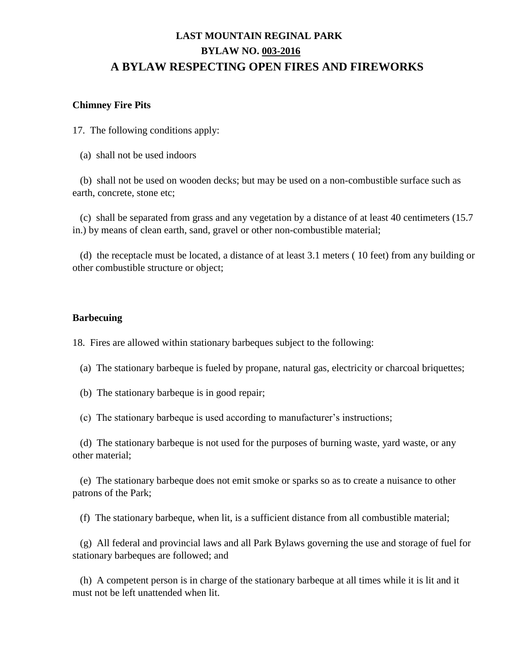#### **Chimney Fire Pits**

17. The following conditions apply:

(a) shall not be used indoors

 (b) shall not be used on wooden decks; but may be used on a non-combustible surface such as earth, concrete, stone etc;

 (c) shall be separated from grass and any vegetation by a distance of at least 40 centimeters (15.7 in.) by means of clean earth, sand, gravel or other non-combustible material;

 (d) the receptacle must be located, a distance of at least 3.1 meters ( 10 feet) from any building or other combustible structure or object;

#### **Barbecuing**

18. Fires are allowed within stationary barbeques subject to the following:

- (a) The stationary barbeque is fueled by propane, natural gas, electricity or charcoal briquettes;
- (b) The stationary barbeque is in good repair;
- (c) The stationary barbeque is used according to manufacturer's instructions;

 (d) The stationary barbeque is not used for the purposes of burning waste, yard waste, or any other material;

 (e) The stationary barbeque does not emit smoke or sparks so as to create a nuisance to other patrons of the Park;

(f) The stationary barbeque, when lit, is a sufficient distance from all combustible material;

 (g) All federal and provincial laws and all Park Bylaws governing the use and storage of fuel for stationary barbeques are followed; and

 (h) A competent person is in charge of the stationary barbeque at all times while it is lit and it must not be left unattended when lit.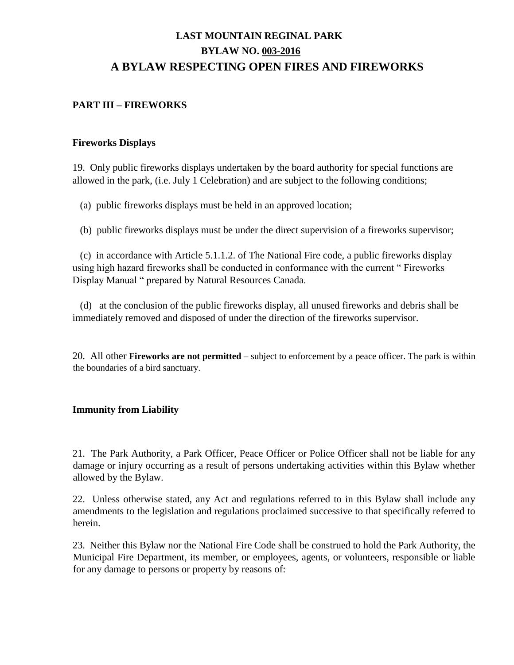### **PART III – FIREWORKS**

#### **Fireworks Displays**

19. Only public fireworks displays undertaken by the board authority for special functions are allowed in the park, (i.e. July 1 Celebration) and are subject to the following conditions;

(a) public fireworks displays must be held in an approved location;

(b) public fireworks displays must be under the direct supervision of a fireworks supervisor;

 (c) in accordance with Article 5.1.1.2. of The National Fire code, a public fireworks display using high hazard fireworks shall be conducted in conformance with the current " Fireworks Display Manual " prepared by Natural Resources Canada.

 (d) at the conclusion of the public fireworks display, all unused fireworks and debris shall be immediately removed and disposed of under the direction of the fireworks supervisor.

20. All other **Fireworks are not permitted** – subject to enforcement by a peace officer. The park is within the boundaries of a bird sanctuary.

#### **Immunity from Liability**

21. The Park Authority, a Park Officer, Peace Officer or Police Officer shall not be liable for any damage or injury occurring as a result of persons undertaking activities within this Bylaw whether allowed by the Bylaw.

22. Unless otherwise stated, any Act and regulations referred to in this Bylaw shall include any amendments to the legislation and regulations proclaimed successive to that specifically referred to herein.

23. Neither this Bylaw nor the National Fire Code shall be construed to hold the Park Authority, the Municipal Fire Department, its member, or employees, agents, or volunteers, responsible or liable for any damage to persons or property by reasons of: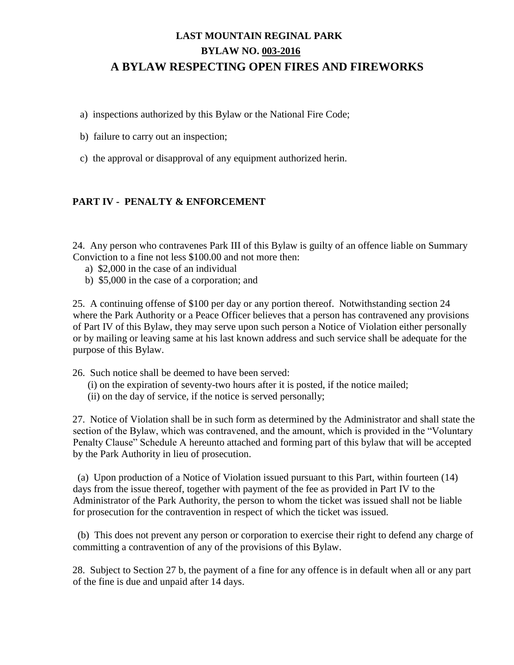a) inspections authorized by this Bylaw or the National Fire Code;

b) failure to carry out an inspection;

c) the approval or disapproval of any equipment authorized herin.

### **PART IV - PENALTY & ENFORCEMENT**

24. Any person who contravenes Park III of this Bylaw is guilty of an offence liable on Summary Conviction to a fine not less \$100.00 and not more then:

- a) \$2,000 in the case of an individual
- b) \$5,000 in the case of a corporation; and

25. A continuing offense of \$100 per day or any portion thereof. Notwithstanding section 24 where the Park Authority or a Peace Officer believes that a person has contravened any provisions of Part IV of this Bylaw, they may serve upon such person a Notice of Violation either personally or by mailing or leaving same at his last known address and such service shall be adequate for the purpose of this Bylaw.

- 26. Such notice shall be deemed to have been served:
	- (i) on the expiration of seventy-two hours after it is posted, if the notice mailed;
	- (ii) on the day of service, if the notice is served personally;

27. Notice of Violation shall be in such form as determined by the Administrator and shall state the section of the Bylaw, which was contravened, and the amount, which is provided in the "Voluntary Penalty Clause" Schedule A hereunto attached and forming part of this bylaw that will be accepted by the Park Authority in lieu of prosecution.

 (a) Upon production of a Notice of Violation issued pursuant to this Part, within fourteen (14) days from the issue thereof, together with payment of the fee as provided in Part IV to the Administrator of the Park Authority, the person to whom the ticket was issued shall not be liable for prosecution for the contravention in respect of which the ticket was issued.

 (b) This does not prevent any person or corporation to exercise their right to defend any charge of committing a contravention of any of the provisions of this Bylaw.

28. Subject to Section 27 b, the payment of a fine for any offence is in default when all or any part of the fine is due and unpaid after 14 days.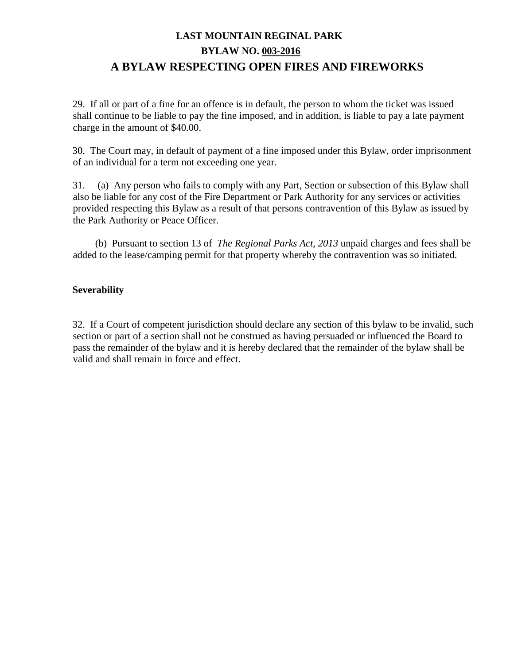29. If all or part of a fine for an offence is in default, the person to whom the ticket was issued shall continue to be liable to pay the fine imposed, and in addition, is liable to pay a late payment charge in the amount of \$40.00.

30. The Court may, in default of payment of a fine imposed under this Bylaw, order imprisonment of an individual for a term not exceeding one year.

31. (a) Any person who fails to comply with any Part, Section or subsection of this Bylaw shall also be liable for any cost of the Fire Department or Park Authority for any services or activities provided respecting this Bylaw as a result of that persons contravention of this Bylaw as issued by the Park Authority or Peace Officer.

 (b) Pursuant to section 13 of *The Regional Parks Act, 2013* unpaid charges and fees shall be added to the lease/camping permit for that property whereby the contravention was so initiated.

### **Severability**

32. If a Court of competent jurisdiction should declare any section of this bylaw to be invalid, such section or part of a section shall not be construed as having persuaded or influenced the Board to pass the remainder of the bylaw and it is hereby declared that the remainder of the bylaw shall be valid and shall remain in force and effect.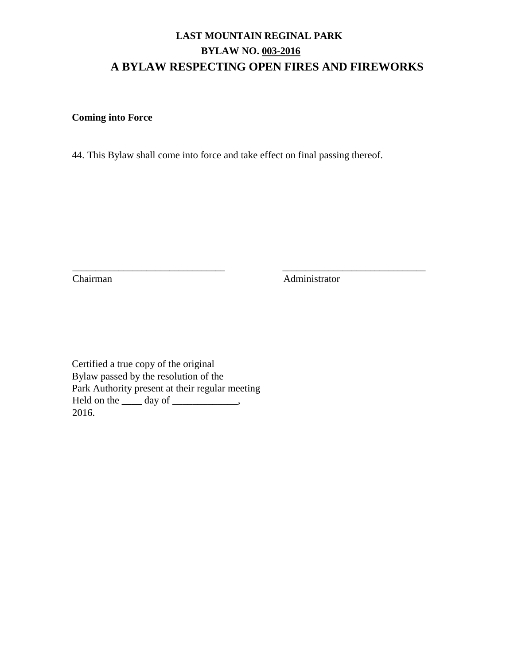## **Coming into Force**

44. This Bylaw shall come into force and take effect on final passing thereof.

\_\_\_\_\_\_\_\_\_\_\_\_\_\_\_\_\_\_\_\_\_\_\_\_\_\_\_\_\_\_\_\_\_ \_\_\_\_\_\_\_\_\_\_\_\_\_\_\_\_\_\_\_\_\_\_\_\_\_\_\_\_\_\_\_

Chairman Administrator

Certified a true copy of the original Bylaw passed by the resolution of the Park Authority present at their regular meeting Held on the <u>same day of \_\_\_\_\_\_\_\_</u>, 2016.